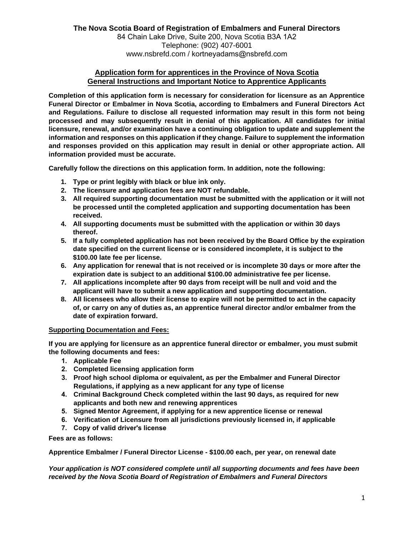## **Application form for apprentices in the Province of Nova Scotia General Instructions and Important Notice to Apprentice Applicants**

**Completion of this application form is necessary for consideration for licensure as an Apprentice Funeral Director or Embalmer in Nova Scotia, according to Embalmers and Funeral Directors Act and Regulations. Failure to disclose all requested information may result in this form not being processed and may subsequently result in denial of this application. All candidates for initial licensure, renewal, and/or examination have a continuing obligation to update and supplement the information and responses on this application if they change. Failure to supplement the information and responses provided on this application may result in denial or other appropriate action. All information provided must be accurate.** 

**Carefully follow the directions on this application form. In addition, note the following:** 

- **1. Type or print legibly with black or blue ink only.**
- **2. The licensure and application fees are NOT refundable.**
- **3. All required supporting documentation must be submitted with the application or it will not be processed until the completed application and supporting documentation has been received.**
- **4. All supporting documents must be submitted with the application or within 30 days thereof.**
- **5. If a fully completed application has not been received by the Board Office by the expiration date specified on the current license or is considered incomplete, it is subject to the \$100.00 late fee per license.**
- **6. Any application for renewal that is not received or is incomplete 30 days or more after the expiration date is subject to an additional \$100.00 administrative fee per license.**
- **7. All applications incomplete after 90 days from receipt will be null and void and the applicant will have to submit a new application and supporting documentation.**
- **8. All licensees who allow their license to expire will not be permitted to act in the capacity of, or carry on any of duties as, an apprentice funeral director and/or embalmer from the date of expiration forward.**

#### **Supporting Documentation and Fees:**

**If you are applying for licensure as an apprentice funeral director or embalmer, you must submit the following documents and fees:**

- **1. Applicable Fee**
- **2. Completed licensing application form**
- **3. Proof high school diploma or equivalent, as per the Embalmer and Funeral Director Regulations, if applying as a new applicant for any type of license**
- **4. Criminal Background Check completed within the last 90 days, as required for new applicants and both new and renewing apprentices**
- **5. Signed Mentor Agreement, if applying for a new apprentice license or renewal**
- **6. Verification of Licensure from all jurisdictions previously licensed in, if applicable**
- **7. Copy of valid driver's license**

**Fees are as follows:**

**Apprentice Embalmer / Funeral Director License - \$100.00 each, per year, on renewal date**

*Your application is NOT considered complete until all supporting documents and fees have been received by the Nova Scotia Board of Registration of Embalmers and Funeral Directors*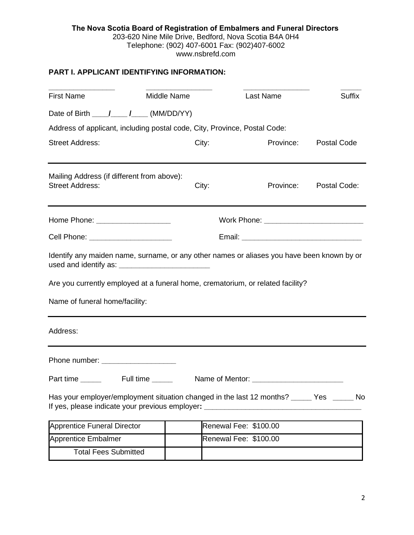## **PART I. APPLICANT IDENTIFYING INFORMATION:**

| <b>First Name</b>                                                                                                                                                                                               | Middle Name | Last Name             | <b>Suffix</b>      |  |
|-----------------------------------------------------------------------------------------------------------------------------------------------------------------------------------------------------------------|-------------|-----------------------|--------------------|--|
|                                                                                                                                                                                                                 |             |                       |                    |  |
| Address of applicant, including postal code, City, Province, Postal Code:                                                                                                                                       |             |                       |                    |  |
| <b>Street Address:</b>                                                                                                                                                                                          | City:       | Province:             | <b>Postal Code</b> |  |
| Mailing Address (if different from above):<br><b>Street Address:</b>                                                                                                                                            | City:       | Province:             | Postal Code:       |  |
| Home Phone: _____________________                                                                                                                                                                               |             |                       |                    |  |
| Cell Phone: _______________________                                                                                                                                                                             |             |                       |                    |  |
| Identify any maiden name, surname, or any other names or aliases you have been known by or<br>Are you currently employed at a funeral home, crematorium, or related facility?<br>Name of funeral home/facility: |             |                       |                    |  |
| Address:                                                                                                                                                                                                        |             |                       |                    |  |
| Phone number: ____________________                                                                                                                                                                              |             |                       |                    |  |
|                                                                                                                                                                                                                 |             |                       |                    |  |
| Has your employer/employment situation changed in the last 12 months? ______ Yes ______ No<br>If yes, please indicate your previous employer: _                                                                 |             |                       |                    |  |
| <b>Apprentice Funeral Director</b>                                                                                                                                                                              |             | Renewal Fee: \$100.00 |                    |  |
| Apprentice Embalmer                                                                                                                                                                                             |             | Renewal Fee: \$100.00 |                    |  |
| <b>Total Fees Submitted</b>                                                                                                                                                                                     |             |                       |                    |  |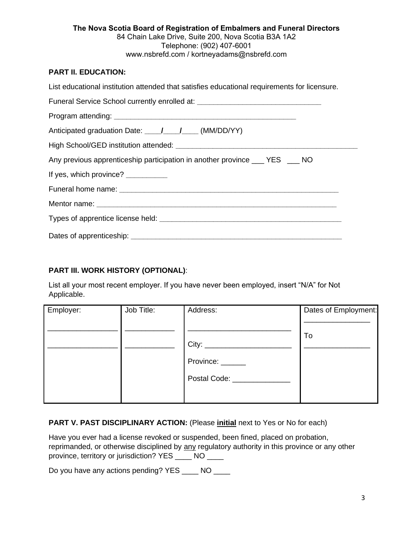#### **The Nova Scotia Board of Registration of Embalmers and Funeral Directors**  84 Chain Lake Drive, Suite 200, Nova Scotia B3A 1A2 Telephone: (902) 407-6001 www.nsbrefd.com / kortneyadams@nsbrefd.com

## **PART II. EDUCATION:**

| List educational institution attended that satisfies educational requirements for licensure. |  |  |  |  |
|----------------------------------------------------------------------------------------------|--|--|--|--|
| Funeral Service School currently enrolled at: __________________________________             |  |  |  |  |
|                                                                                              |  |  |  |  |
|                                                                                              |  |  |  |  |
|                                                                                              |  |  |  |  |
| Any previous apprenticeship participation in another province ____ YES ____ NO               |  |  |  |  |
| If yes, which province? __________                                                           |  |  |  |  |
|                                                                                              |  |  |  |  |
|                                                                                              |  |  |  |  |
|                                                                                              |  |  |  |  |
|                                                                                              |  |  |  |  |

## **PART III. WORK HISTORY (OPTIONAL)**:

List all your most recent employer. If you have never been employed, insert "N/A" for Not Applicable.

| Employer: | Job Title: | Address:                           | Dates of Employment: |
|-----------|------------|------------------------------------|----------------------|
|           |            |                                    |                      |
|           |            |                                    | To                   |
|           |            |                                    |                      |
|           |            | Province: ______                   |                      |
|           |            | Postal Code: National Postal Code: |                      |
|           |            |                                    |                      |

## **PART V. PAST DISCIPLINARY ACTION:** (Please **initial** next to Yes or No for each)

Have you ever had a license revoked or suspended, been fined, placed on probation, reprimanded, or otherwise disciplined by any regulatory authority in this province or any other province, territory or jurisdiction? YES \_\_\_\_ NO \_\_\_\_

Do you have any actions pending? YES \_\_\_\_ NO \_\_\_\_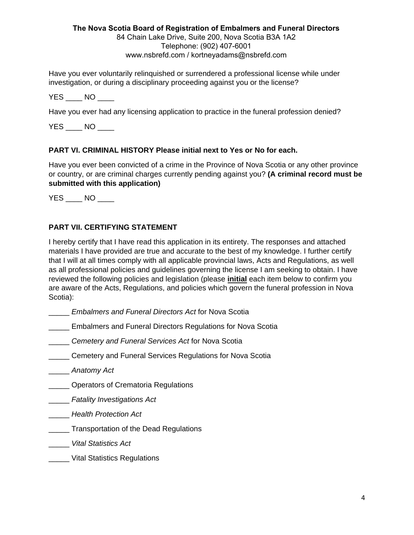# **The Nova Scotia Board of Registration of Embalmers and Funeral Directors**

84 Chain Lake Drive, Suite 200, Nova Scotia B3A 1A2 Telephone: (902) 407-6001 www.nsbrefd.com / kortneyadams@nsbrefd.com

Have you ever voluntarily relinquished or surrendered a professional license while under investigation, or during a disciplinary proceeding against you or the license?

YES NO

Have you ever had any licensing application to practice in the funeral profession denied?

 $YES$   $NO$   $10$ 

# **PART VI. CRIMINAL HISTORY Please initial next to Yes or No for each.**

Have you ever been convicted of a crime in the Province of Nova Scotia or any other province or country, or are criminal charges currently pending against you? **(A criminal record must be submitted with this application)** 

YES NO

# **PART VII. CERTIFYING STATEMENT**

I hereby certify that I have read this application in its entirety. The responses and attached materials I have provided are true and accurate to the best of my knowledge. I further certify that I will at all times comply with all applicable provincial laws, Acts and Regulations, as well as all professional policies and guidelines governing the license I am seeking to obtain. I have reviewed the following policies and legislation (please **initial** each item below to confirm you are aware of the Acts, Regulations, and policies which govern the funeral profession in Nova Scotia):

- \_\_\_\_\_ *Embalmers and Funeral Directors Act* for Nova Scotia
- **\_\_\_\_\_** Embalmers and Funeral Directors Regulations for Nova Scotia
- \_\_\_\_\_ *Cemetery and Funeral Services Act* for Nova Scotia
- **Cemetery and Funeral Services Regulations for Nova Scotia**
- \_\_\_\_\_ *[Anatomy Act](https://nslegislature.ca/sites/default/files/legc/statutes/anatomy.htm)*
- **\_\_\_\_\_** Operators of Crematoria Regulations
- \_\_\_\_\_ *[Fatality Investigations Act](https://nslegislature.ca/legc/bills/58th_2nd/3rd_read/b092.htm)*
- \_\_\_\_\_ *[Health Protection Act](https://nslegislature.ca/legc/bills/59th_1st/3rd_read/b026.htm)*
- **\_\_\_\_\_\_** Transportation of the Dead Regulations
- \_\_\_\_\_ *[Vital Statistics Act](https://nslegislature.ca/sites/default/files/legc/statutes/vital%20statistics.pdf)*
- \_\_\_\_\_ [Vital Statistics Regulations](https://nslegislature.ca/sites/default/files/legc/statutes/vital%20statistics.pdf)